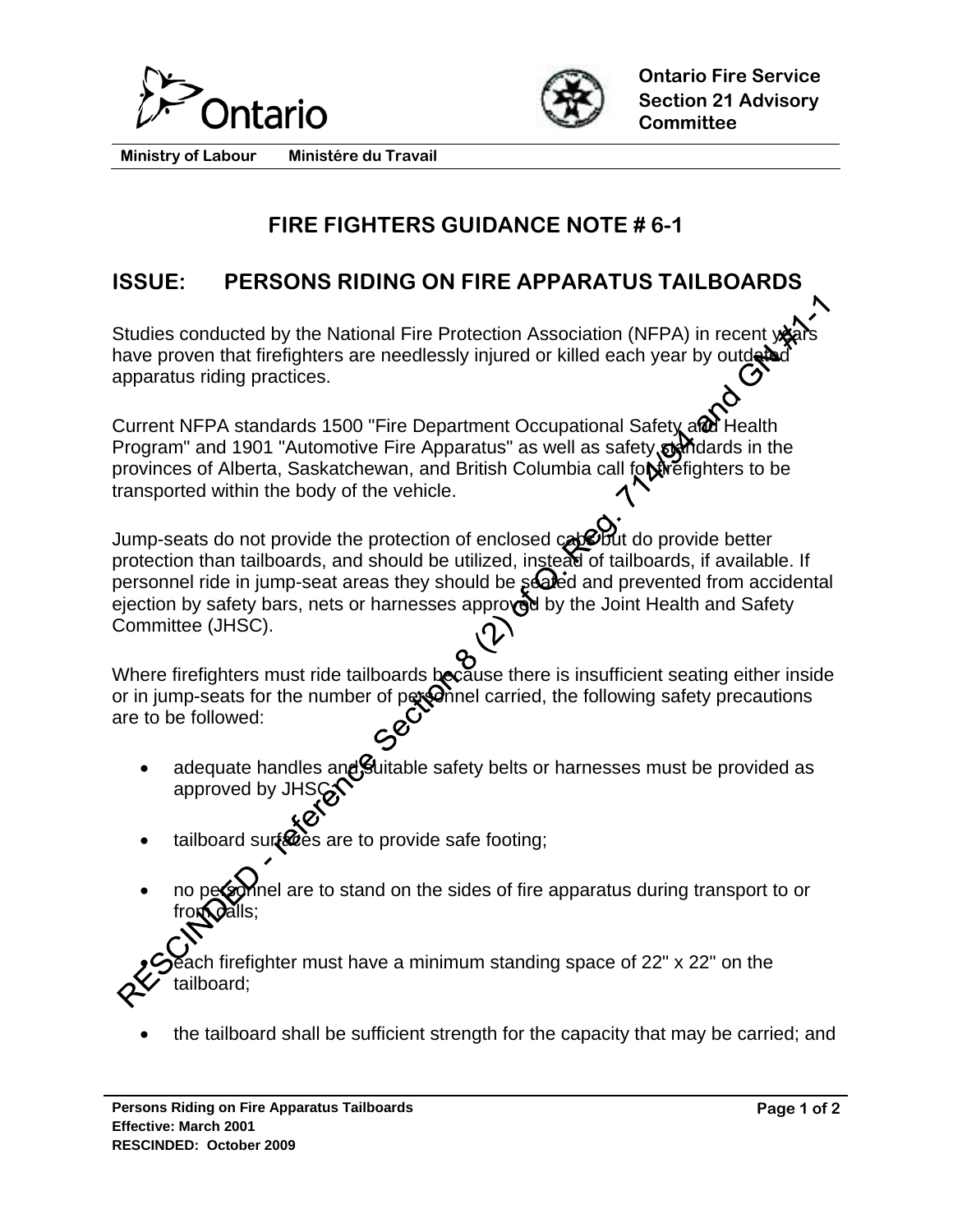



**Ministry of Labour Ministére du Travail** 

## **FIRE FIGHTERS GUIDANCE NOTE # 6-1**

## **ISSUE: PERSONS RIDING ON FIRE APPARATUS TAILBOARDS**

Studies conducted by the National Fire Protection Association (NFPA) in recent years have proven that firefighters are needlessly injured or killed each year by outder apparatus riding practices.

Current NFPA standards 1500 "Fire Department Occupational Safety and Health Program" and 1901 "Automotive Fire Apparatus" as well as safety standards in the provinces of Alberta, Saskatchewan, and British Columbia call for Freighters to be transported within the body of the vehicle.

Jump-seats do not provide the protection of enclosed cab but do provide better protection than tailboards, and should be utilized, instead of tailboards, if available. If personnel ride in jump-seat areas they should be sealed and prevented from accidental ejection by safety bars, nets or harnesses approved by the Joint Health and Safety Committee (JHSC).

Where firefighters must ride tailboards because there is insufficient seating either inside or in jump-seats for the number of  $pqq$  and carried, the following safety precautions are to be followed:

- adequate handles and Suitable safety belts or harnesses must be provided as approved by JHS
- tailboard surfaces are to provide safe footing;
- nel are to stand on the sides of fire apparatus during transport to or from *d*alls;

ach firefighter must have a minimum standing space of 22" x 22" on the tailboard;

the tailboard shall be sufficient strength for the capacity that may be carried; and